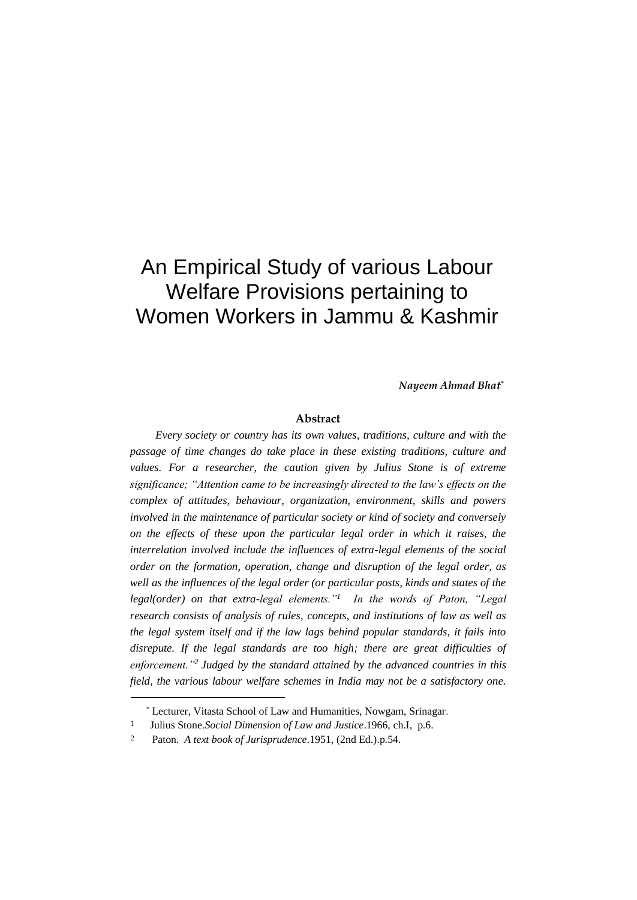# An Empirical Study of various Labour Welfare Provisions pertaining to Women Workers in Jammu & Kashmir

*Nayeem Ahmad Bhat\**

#### **Abstract**

*Every society or country has its own values, traditions, culture and with the passage of time changes do take place in these existing traditions, culture and*  values. For a researcher, the caution given by Julius Stone is of extreme *significance; "Attention came to be increasingly directed to the law's effects on the complex of attitudes, behaviour, organization, environment, skills and powers involved in the maintenance of particular society or kind of society and conversely on the effects of these upon the particular legal order in which it raises, the interrelation involved include the influences of extra-legal elements of the social order on the formation, operation, change and disruption of the legal order, as well as the influences of the legal order (or particular posts, kinds and states of the legal(order) on that extra-legal elements."<sup>1</sup> In the words of Paton, "Legal research consists of analysis of rules, concepts, and institutions of law as well as the legal system itself and if the law lags behind popular standards, it fails into disrepute. If the legal standards are too high; there are great difficulties of enforcement."<sup>2</sup> Judged by the standard attained by the advanced countries in this field, the various labour welfare schemes in India may not be a satisfactory one.* 

<sup>\*</sup> Lecturer, Vitasta School of Law and Humanities, Nowgam, Srinagar.

<sup>1</sup> Julius Stone.*Social Dimension of Law and Justice*.1966, ch.I, p.6.

<sup>2</sup> Paton. *A text book of Jurisprudence*.1951, (2nd Ed.).p.54.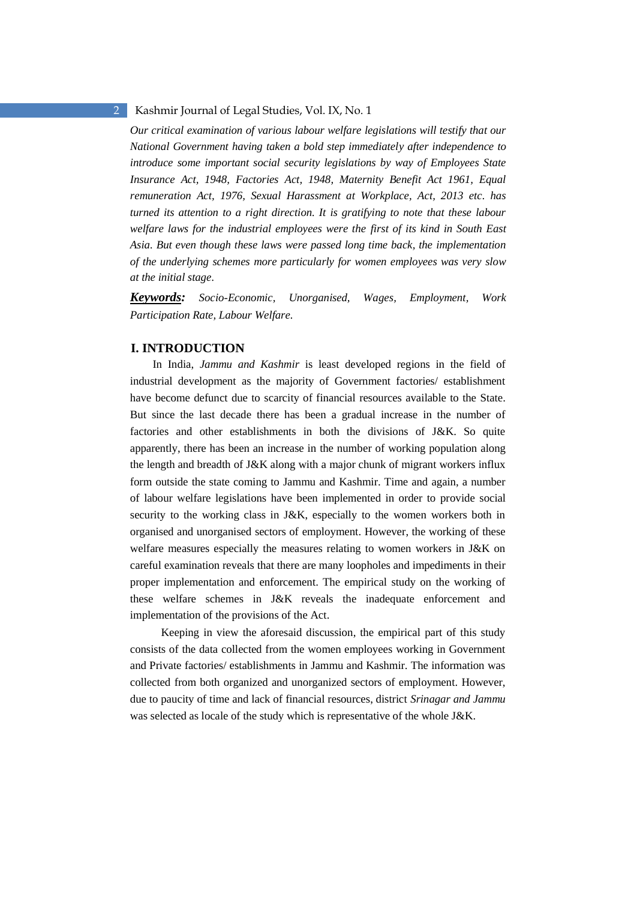*Our critical examination of various labour welfare legislations will testify that our National Government having taken a bold step immediately after independence to introduce some important social security legislations by way of Employees State Insurance Act, 1948, Factories Act, 1948, Maternity Benefit Act 1961, Equal remuneration Act, 1976, Sexual Harassment at Workplace, Act, 2013 etc. has turned its attention to a right direction. It is gratifying to note that these labour welfare laws for the industrial employees were the first of its kind in South East Asia. But even though these laws were passed long time back, the implementation of the underlying schemes more particularly for women employees was very slow at the initial stage.* 

*Keywords: Socio-Economic, Unorganised, Wages, Employment, Work Participation Rate, Labour Welfare.* 

# **I. INTRODUCTION**

In India, *Jammu and Kashmir* is least developed regions in the field of industrial development as the majority of Government factories/ establishment have become defunct due to scarcity of financial resources available to the State. But since the last decade there has been a gradual increase in the number of factories and other establishments in both the divisions of J&K. So quite apparently, there has been an increase in the number of working population along the length and breadth of J&K along with a major chunk of migrant workers influx form outside the state coming to Jammu and Kashmir. Time and again, a number of labour welfare legislations have been implemented in order to provide social security to the working class in J&K, especially to the women workers both in organised and unorganised sectors of employment. However, the working of these welfare measures especially the measures relating to women workers in J&K on careful examination reveals that there are many loopholes and impediments in their proper implementation and enforcement. The empirical study on the working of these welfare schemes in J&K reveals the inadequate enforcement and implementation of the provisions of the Act.

 Keeping in view the aforesaid discussion, the empirical part of this study consists of the data collected from the women employees working in Government and Private factories/ establishments in Jammu and Kashmir. The information was collected from both organized and unorganized sectors of employment. However, due to paucity of time and lack of financial resources, district *Srinagar and Jammu* was selected as locale of the study which is representative of the whole J&K.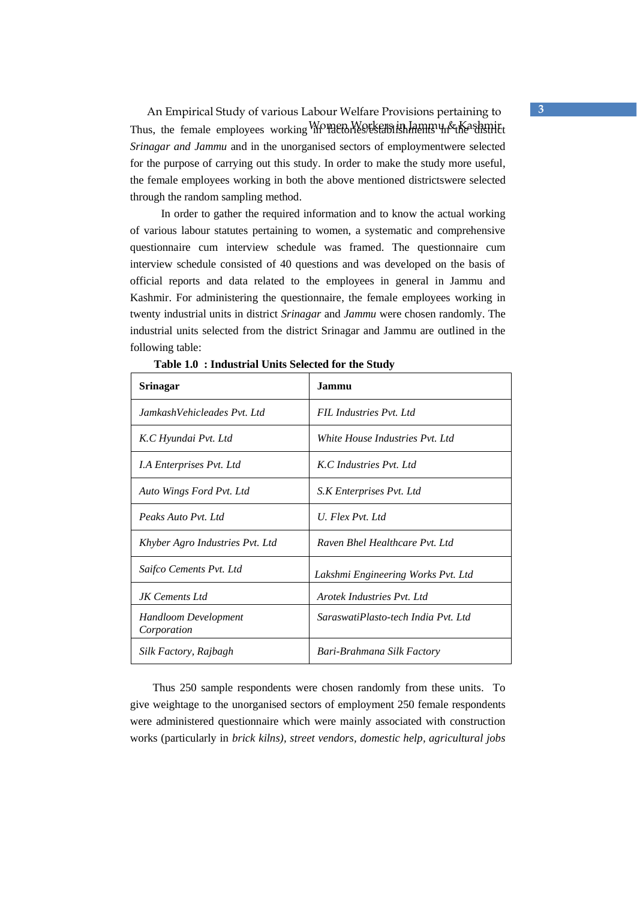An Empirical Study of various Labour Welfare Provisions pertaining to **3** Thus, the female employees working Women Workers in Jammu & Kashmitt *Srinagar and Jammu* and in the unorganised sectors of employmentwere selected for the purpose of carrying out this study. In order to make the study more useful, the female employees working in both the above mentioned districtswere selected through the random sampling method.

 In order to gather the required information and to know the actual working of various labour statutes pertaining to women, a systematic and comprehensive questionnaire cum interview schedule was framed. The questionnaire cum interview schedule consisted of 40 questions and was developed on the basis of official reports and data related to the employees in general in Jammu and Kashmir. For administering the questionnaire, the female employees working in twenty industrial units in district *Srinagar* and *Jammu* were chosen randomly. The industrial units selected from the district Srinagar and Jammu are outlined in the following table:

| Srinagar                            | Jammu                               |
|-------------------------------------|-------------------------------------|
| JamkashVehicleades Pvt. Ltd.        | FIL Industries Pyt. Ltd.            |
| K.C Hyundai Pvt. Ltd                | White House Industries Pvt. Ltd     |
| <i>I.A Enterprises Pvt. Ltd</i>     | K.C. Industries Pyt. Ltd.           |
| Auto Wings Ford Pvt. Ltd            | S.K Enterprises Pvt. Ltd            |
| Peaks Auto Pyt. Ltd.                | U. Flex Pyt. Ltd.                   |
| Khyber Agro Industries Pvt. Ltd     | Raven Bhel Healthcare Pyt. Ltd.     |
| Saifco Cements Pvt. Ltd             | Lakshmi Engineering Works Pvt. Ltd  |
| JK Cements Ltd                      | Arotek Industries Pyt. Ltd.         |
| Handloom Development<br>Corporation | SaraswatiPlasto-tech India Pyt. Ltd |
| Silk Factory, Rajbagh               | Bari-Brahmana Silk Factory          |

**Table 1.0 : Industrial Units Selected for the Study** 

Thus 250 sample respondents were chosen randomly from these units. To give weightage to the unorganised sectors of employment 250 female respondents were administered questionnaire which were mainly associated with construction works (particularly in *brick kilns), street vendors, domestic help, agricultural jobs*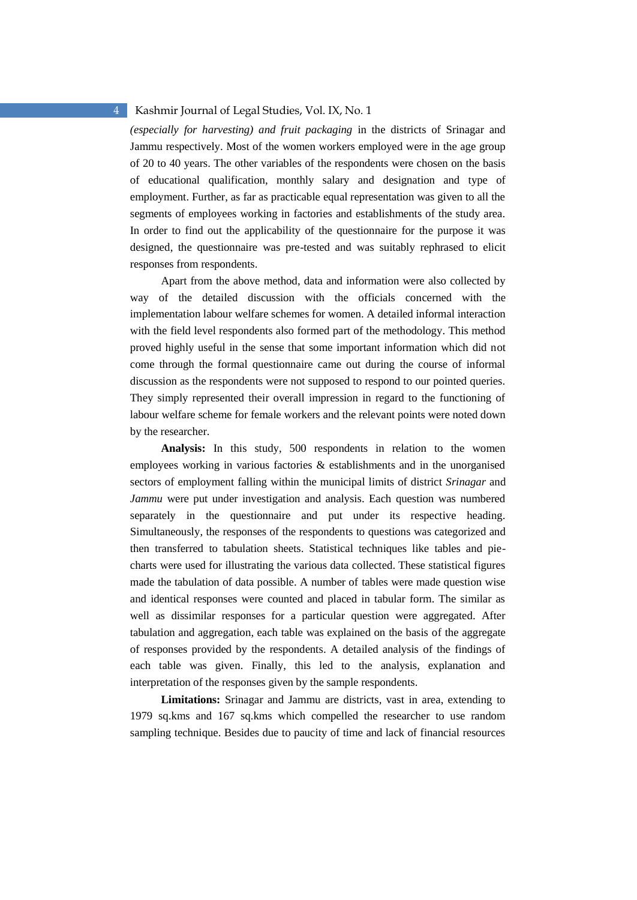*(especially for harvesting) and fruit packaging* in the districts of Srinagar and Jammu respectively. Most of the women workers employed were in the age group of 20 to 40 years. The other variables of the respondents were chosen on the basis of educational qualification, monthly salary and designation and type of employment. Further, as far as practicable equal representation was given to all the segments of employees working in factories and establishments of the study area. In order to find out the applicability of the questionnaire for the purpose it was designed, the questionnaire was pre-tested and was suitably rephrased to elicit responses from respondents.

 Apart from the above method, data and information were also collected by way of the detailed discussion with the officials concerned with the implementation labour welfare schemes for women. A detailed informal interaction with the field level respondents also formed part of the methodology. This method proved highly useful in the sense that some important information which did not come through the formal questionnaire came out during the course of informal discussion as the respondents were not supposed to respond to our pointed queries. They simply represented their overall impression in regard to the functioning of labour welfare scheme for female workers and the relevant points were noted down by the researcher.

 **Analysis:** In this study, 500 respondents in relation to the women employees working in various factories & establishments and in the unorganised sectors of employment falling within the municipal limits of district *Srinagar* and *Jammu* were put under investigation and analysis. Each question was numbered separately in the questionnaire and put under its respective heading. Simultaneously, the responses of the respondents to questions was categorized and then transferred to tabulation sheets. Statistical techniques like tables and piecharts were used for illustrating the various data collected. These statistical figures made the tabulation of data possible. A number of tables were made question wise and identical responses were counted and placed in tabular form. The similar as well as dissimilar responses for a particular question were aggregated. After tabulation and aggregation, each table was explained on the basis of the aggregate of responses provided by the respondents. A detailed analysis of the findings of each table was given. Finally, this led to the analysis, explanation and interpretation of the responses given by the sample respondents.

 **Limitations:** Srinagar and Jammu are districts, vast in area, extending to 1979 sq.kms and 167 sq.kms which compelled the researcher to use random sampling technique. Besides due to paucity of time and lack of financial resources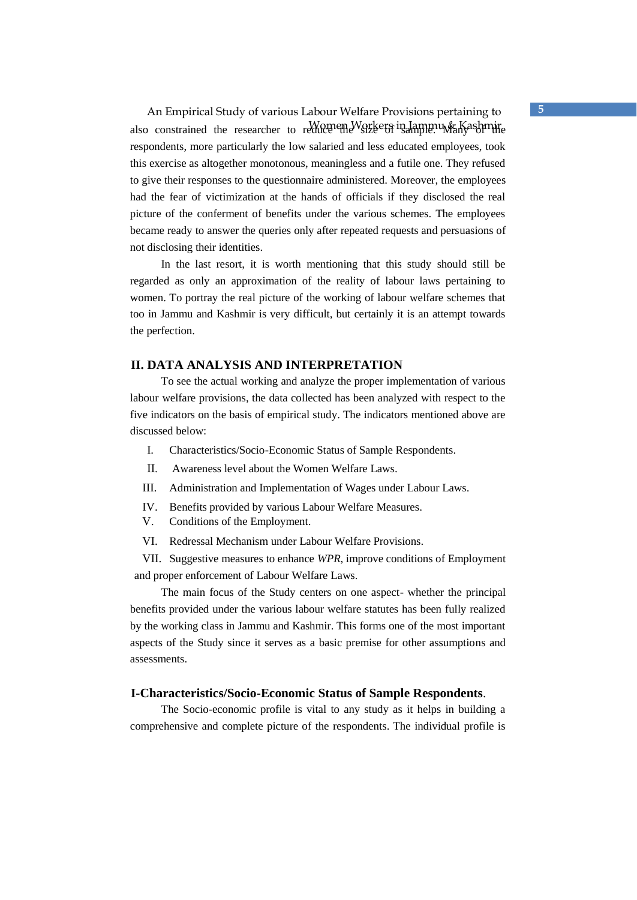An Empirical Study of various Labour Welfare Provisions pertaining to **5** also constrained the researcher to reduce the Workers in Jammu Kashmire respondents, more particularly the low salaried and less educated employees, took this exercise as altogether monotonous, meaningless and a futile one. They refused to give their responses to the questionnaire administered. Moreover, the employees had the fear of victimization at the hands of officials if they disclosed the real picture of the conferment of benefits under the various schemes. The employees became ready to answer the queries only after repeated requests and persuasions of not disclosing their identities.

 In the last resort, it is worth mentioning that this study should still be regarded as only an approximation of the reality of labour laws pertaining to women. To portray the real picture of the working of labour welfare schemes that too in Jammu and Kashmir is very difficult, but certainly it is an attempt towards the perfection.

# **II. DATA ANALYSIS AND INTERPRETATION**

 To see the actual working and analyze the proper implementation of various labour welfare provisions, the data collected has been analyzed with respect to the five indicators on the basis of empirical study. The indicators mentioned above are discussed below:

- I. Characteristics/Socio-Economic Status of Sample Respondents.
- II. Awareness level about the Women Welfare Laws.
- III. Administration and Implementation of Wages under Labour Laws.
- IV. Benefits provided by various Labour Welfare Measures.
- V. Conditions of the Employment.
- VI. Redressal Mechanism under Labour Welfare Provisions.

VII. Suggestive measures to enhance *WPR*, improve conditions of Employment and proper enforcement of Labour Welfare Laws.

 The main focus of the Study centers on one aspect- whether the principal benefits provided under the various labour welfare statutes has been fully realized by the working class in Jammu and Kashmir. This forms one of the most important aspects of the Study since it serves as a basic premise for other assumptions and assessments.

### **I-Characteristics/Socio-Economic Status of Sample Respondents**.

 The Socio-economic profile is vital to any study as it helps in building a comprehensive and complete picture of the respondents. The individual profile is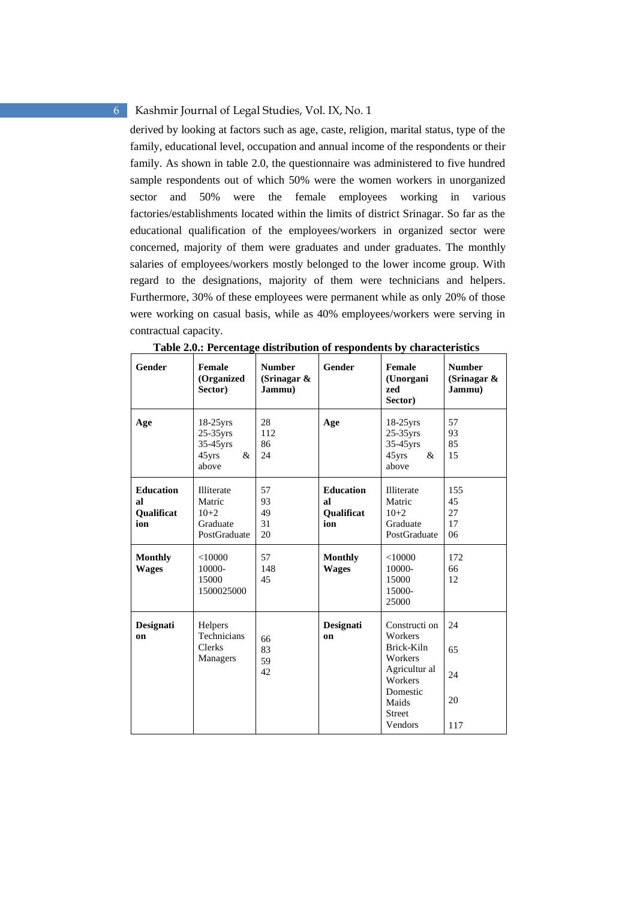derived by looking at factors such as age, caste, religion, marital status, type of the family, educational level, occupation and annual income of the respondents or their family. As shown in table 2.0, the questionnaire was administered to five hundred sample respondents out of which 50% were the women workers in unorganized sector and 50% were the female employees working in various factories/establishments located within the limits of district Srinagar. So far as the educational qualification of the employees/workers in organized sector were concerned, majority of them were graduates and under graduates. The monthly salaries of employees/workers mostly belonged to the lower income group. With regard to the designations, majority of them were technicians and helpers. Furthermore, 30% of these employees were permanent while as only 20% of those were working on casual basis, while as 40% employees/workers were serving in contractual capacity.

| <b>Gender</b>                               | Female<br>(Organized<br>Sector)                            | <b>Number</b><br>(Srinagar $\&$<br>Jammu) | <b>Gender</b>                               | Female<br>(Unorgani<br>zed<br>Sector)                                                                                          | <b>Number</b><br>(Srinagar $\&$<br>Jammu) |
|---------------------------------------------|------------------------------------------------------------|-------------------------------------------|---------------------------------------------|--------------------------------------------------------------------------------------------------------------------------------|-------------------------------------------|
| Age                                         | $18-25$ yrs<br>25-35yrs<br>35-45yrs<br>45yrs<br>&<br>above | 28<br>112<br>86<br>24                     | Age                                         | $18-25$ yrs<br>$25-35$ yrs<br>35-45yrs<br>45yrs<br>&<br>above                                                                  | 57<br>93<br>85<br>15                      |
| <b>Education</b><br>al<br>Qualificat<br>ion | Illiterate<br>Matric<br>$10+2$<br>Graduate<br>PostGraduate | 57<br>93<br>49<br>31<br>20                | <b>Education</b><br>al<br>Qualificat<br>ion | Illiterate<br>Matric<br>$10+2$<br>Graduate<br>PostGraduate                                                                     | 155<br>45<br>27<br>17<br>06               |
| <b>Monthly</b><br><b>Wages</b>              | < 10000<br>10000-<br>15000<br>1500025000                   | 57<br>148<br>45                           | <b>Monthly</b><br><b>Wages</b>              | < 10000<br>10000-<br>15000<br>15000-<br>25000                                                                                  | 172<br>66<br>12                           |
| Designati<br>on                             | Helpers<br>Technicians<br>Clerks<br>Managers               | 66<br>83<br>59<br>42                      | Designati<br>on                             | Constructi on<br>Workers<br>Brick-Kiln<br>Workers<br>Agricultur al<br>Workers<br>Domestic<br>Maids<br><b>Street</b><br>Vendors | 24<br>65<br>24<br>20<br>117               |

**Table 2.0.: Percentage distribution of respondents by characteristics**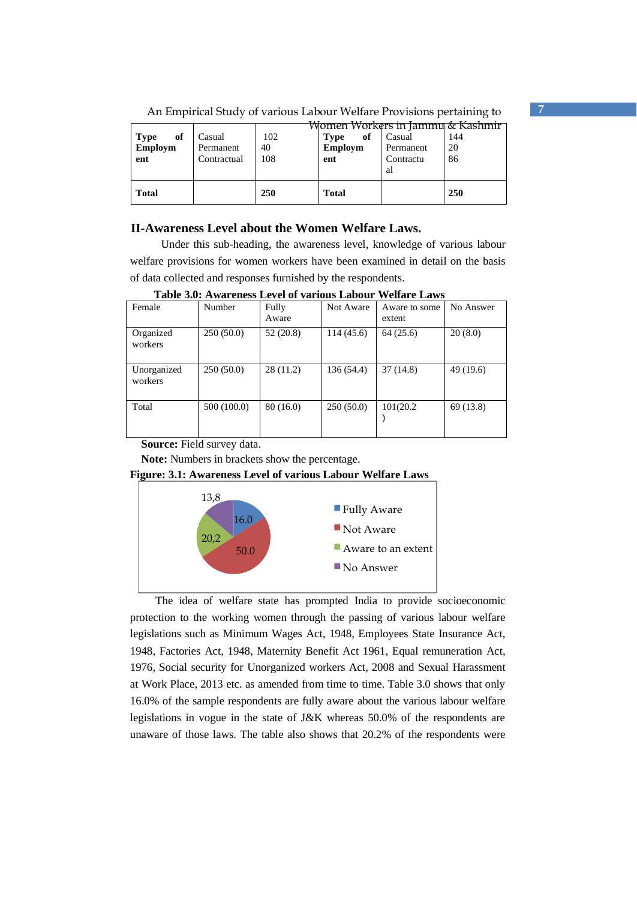|                   |             | <b>TAT</b> | Women Workers in Jammu & Kashmir |           |     |
|-------------------|-------------|------------|----------------------------------|-----------|-----|
| of<br><b>Type</b> | Casual      | 102        | of<br><b>Type</b>                | Casual    | 144 |
| Employm           | Permanent   | 40         | <b>Employm</b>                   | Permanent | 20  |
| ent               | Contractual | 108        | ent                              | Contractu | 86  |
|                   |             |            |                                  | al        |     |
| <b>Total</b>      |             | 250        | <b>Total</b>                     |           | 250 |

An Empirical Study of various Labour Welfare Provisions pertaining to **7**

# **II-Awareness Level about the Women Welfare Laws.**

 Under this sub-heading, the awareness level, knowledge of various labour welfare provisions for women workers have been examined in detail on the basis of data collected and responses furnished by the respondents.

**Table 3.0: Awareness Level of various Labour Welfare Laws** 

| Female                 | Number      | Fully<br>Aware | Not Aware  | Aware to some<br>extent | No Answer |
|------------------------|-------------|----------------|------------|-------------------------|-----------|
| Organized<br>workers   | 250(50.0)   | 52(20.8)       | 114(45.6)  | 64(25.6)                | 20(8.0)   |
| Unorganized<br>workers | 250(50.0)   | 28(11.2)       | 136 (54.4) | 37(14.8)                | 49 (19.6) |
| Total                  | 500 (100.0) | 80(16.0)       | 250(50.0)  | 101(20.2)               | 69 (13.8) |

**Source:** Field survey data.

**Note:** Numbers in brackets show the percentage.





The idea of welfare state has prompted India to provide socioeconomic protection to the working women through the passing of various labour welfare legislations such as Minimum Wages Act, 1948, Employees State Insurance Act, 1948, Factories Act, 1948, Maternity Benefit Act 1961, Equal remuneration Act, 1976, Social security for Unorganized workers Act, 2008 and Sexual Harassment at Work Place, 2013 etc. as amended from time to time. Table 3.0 shows that only 16.0% of the sample respondents are fully aware about the various labour welfare legislations in vogue in the state of J&K whereas 50.0% of the respondents are unaware of those laws. The table also shows that 20.2% of the respondents were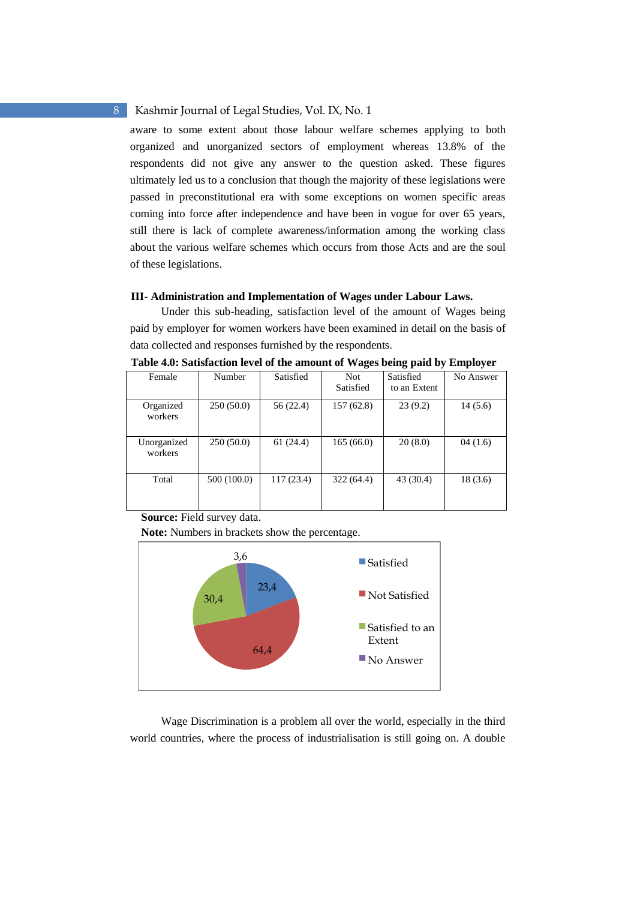aware to some extent about those labour welfare schemes applying to both organized and unorganized sectors of employment whereas 13.8% of the respondents did not give any answer to the question asked. These figures ultimately led us to a conclusion that though the majority of these legislations were passed in preconstitutional era with some exceptions on women specific areas coming into force after independence and have been in vogue for over 65 years, still there is lack of complete awareness/information among the working class about the various welfare schemes which occurs from those Acts and are the soul of these legislations.

#### **III- Administration and Implementation of Wages under Labour Laws.**

 Under this sub-heading, satisfaction level of the amount of Wages being paid by employer for women workers have been examined in detail on the basis of data collected and responses furnished by the respondents.

| Female                 | Number      | Satisfied | Not.<br>Satisfied | Satisfied<br>to an Extent | No Answer |
|------------------------|-------------|-----------|-------------------|---------------------------|-----------|
| Organized<br>workers   | 250(50.0)   | 56 (22.4) | 157(62.8)         | 23(9.2)                   | 14(5.6)   |
| Unorganized<br>workers | 250(50.0)   | 61(24.4)  | 165(66.0)         | 20(8.0)                   | 04(1.6)   |
| Total                  | 500 (100.0) | 117(23.4) | 322(64.4)         | 43 (30.4)                 | 18(3.6)   |

**Table 4.0: Satisfaction level of the amount of Wages being paid by Employer** 

**Source:** Field survey data.

**Note:** Numbers in brackets show the percentage.



 Wage Discrimination is a problem all over the world, especially in the third world countries, where the process of industrialisation is still going on. A double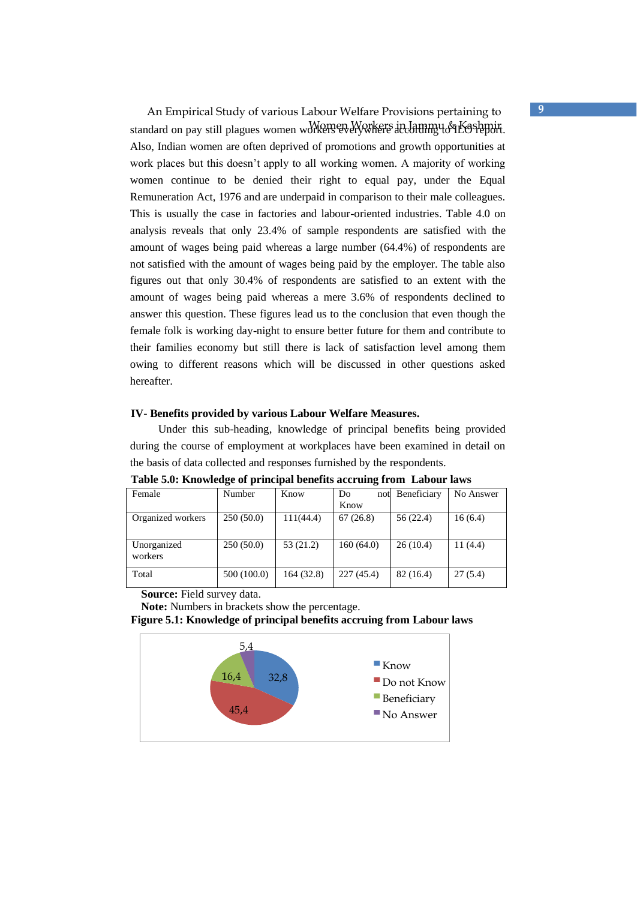An Empirical Study of various Labour Welfare Provisions pertaining to **9** standard on pay still plagues women workers everywhere according to Kashmir Also, Indian women are often deprived of promotions and growth opportunities at work places but this doesn't apply to all working women. A majority of working women continue to be denied their right to equal pay, under the Equal Remuneration Act, 1976 and are underpaid in comparison to their male colleagues. This is usually the case in factories and labour-oriented industries. Table 4.0 on analysis reveals that only 23.4% of sample respondents are satisfied with the amount of wages being paid whereas a large number (64.4%) of respondents are not satisfied with the amount of wages being paid by the employer. The table also figures out that only 30.4% of respondents are satisfied to an extent with the amount of wages being paid whereas a mere 3.6% of respondents declined to answer this question. These figures lead us to the conclusion that even though the female folk is working day-night to ensure better future for them and contribute to their families economy but still there is lack of satisfaction level among them owing to different reasons which will be discussed in other questions asked hereafter.

#### **IV- Benefits provided by various Labour Welfare Measures.**

 Under this sub-heading, knowledge of principal benefits being provided during the course of employment at workplaces have been examined in detail on the basis of data collected and responses furnished by the respondents.

| Female                 | Number      | Know       | Do         | not Beneficiary | No Answer |
|------------------------|-------------|------------|------------|-----------------|-----------|
|                        |             |            | Know       |                 |           |
| Organized workers      | 250(50.0)   | 111(44.4)  | 67(26.8)   | 56 (22.4)       | 16(6.4)   |
| Unorganized<br>workers | 250(50.0)   | 53 (21.2)  | 160(64.0)  | 26(10.4)        | 11(4.4)   |
| Total                  | 500 (100.0) | 164 (32.8) | 227 (45.4) | 82 (16.4)       | 27(5.4)   |

**Table 5.0: Knowledge of principal benefits accruing from Labour laws** 

**Source:** Field survey data.

**Note:** Numbers in brackets show the percentage.

**Figure 5.1: Knowledge of principal benefits accruing from Labour laws** 

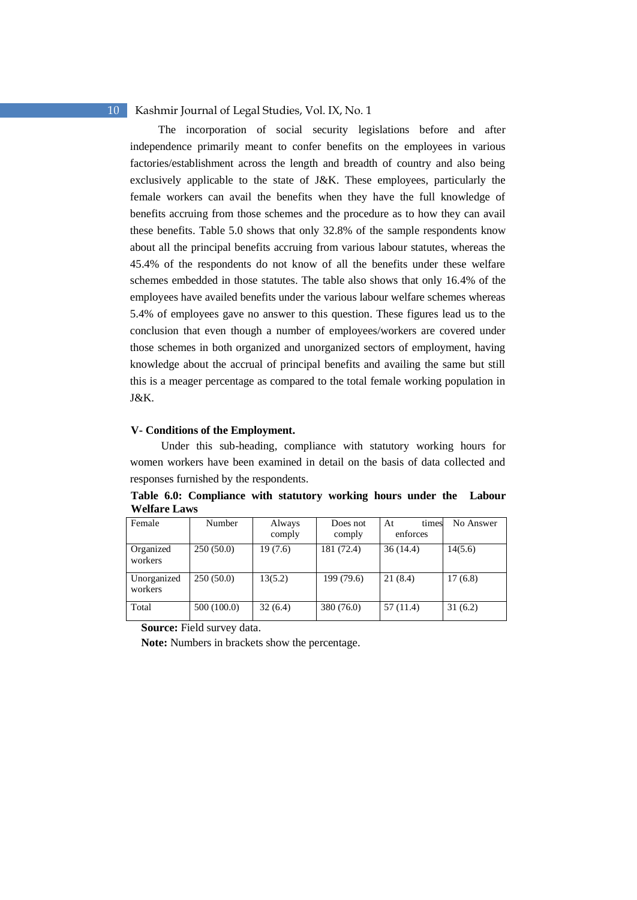The incorporation of social security legislations before and after independence primarily meant to confer benefits on the employees in various factories/establishment across the length and breadth of country and also being exclusively applicable to the state of J&K. These employees, particularly the female workers can avail the benefits when they have the full knowledge of benefits accruing from those schemes and the procedure as to how they can avail these benefits. Table 5.0 shows that only 32.8% of the sample respondents know about all the principal benefits accruing from various labour statutes, whereas the 45.4% of the respondents do not know of all the benefits under these welfare schemes embedded in those statutes. The table also shows that only 16.4% of the employees have availed benefits under the various labour welfare schemes whereas 5.4% of employees gave no answer to this question. These figures lead us to the conclusion that even though a number of employees/workers are covered under those schemes in both organized and unorganized sectors of employment, having knowledge about the accrual of principal benefits and availing the same but still this is a meager percentage as compared to the total female working population in J&K.

### **V- Conditions of the Employment.**

 Under this sub-heading, compliance with statutory working hours for women workers have been examined in detail on the basis of data collected and responses furnished by the respondents.

**Table 6.0: Compliance with statutory working hours under the Labour Welfare Laws** 

| Female                 | Number      | Always<br>comply | Does not<br>comply | At<br>times<br>enforces | No Answer |
|------------------------|-------------|------------------|--------------------|-------------------------|-----------|
| Organized<br>workers   | 250(50.0)   | 19(7.6)          | 181 (72.4)         | 36(14.4)                | 14(5.6)   |
| Unorganized<br>workers | 250(50.0)   | 13(5.2)          | 199 (79.6)         | 21(8.4)                 | 17(6.8)   |
| Total                  | 500 (100.0) | 32(6.4)          | 380 (76.0)         | 57 (11.4)               | 31(6.2)   |

**Source:** Field survey data.

**Note:** Numbers in brackets show the percentage.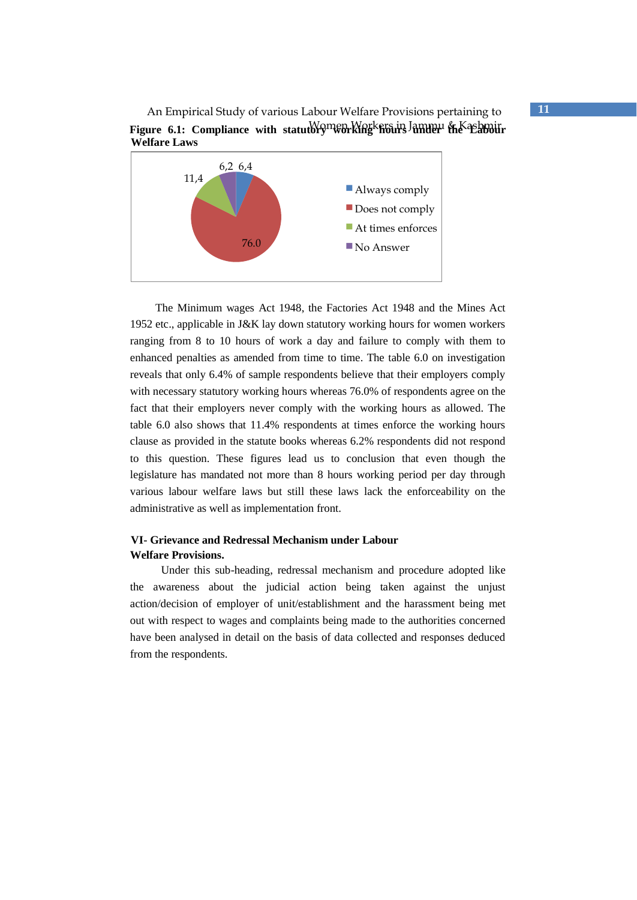An Empirical Study of various Labour Welfare Provisions pertaining to **11** Figure 6.1: Compliance with statutory working hours Jammu & Kashmir **Welfare Laws** 



The Minimum wages Act 1948, the Factories Act 1948 and the Mines Act 1952 etc., applicable in J&K lay down statutory working hours for women workers ranging from 8 to 10 hours of work a day and failure to comply with them to enhanced penalties as amended from time to time. The table 6.0 on investigation reveals that only 6.4% of sample respondents believe that their employers comply with necessary statutory working hours whereas 76.0% of respondents agree on the fact that their employers never comply with the working hours as allowed. The table 6.0 also shows that 11.4% respondents at times enforce the working hours clause as provided in the statute books whereas 6.2% respondents did not respond to this question. These figures lead us to conclusion that even though the legislature has mandated not more than 8 hours working period per day through various labour welfare laws but still these laws lack the enforceability on the administrative as well as implementation front.

# **VI- Grievance and Redressal Mechanism under Labour Welfare Provisions.**

 Under this sub-heading, redressal mechanism and procedure adopted like the awareness about the judicial action being taken against the unjust action/decision of employer of unit/establishment and the harassment being met out with respect to wages and complaints being made to the authorities concerned have been analysed in detail on the basis of data collected and responses deduced from the respondents.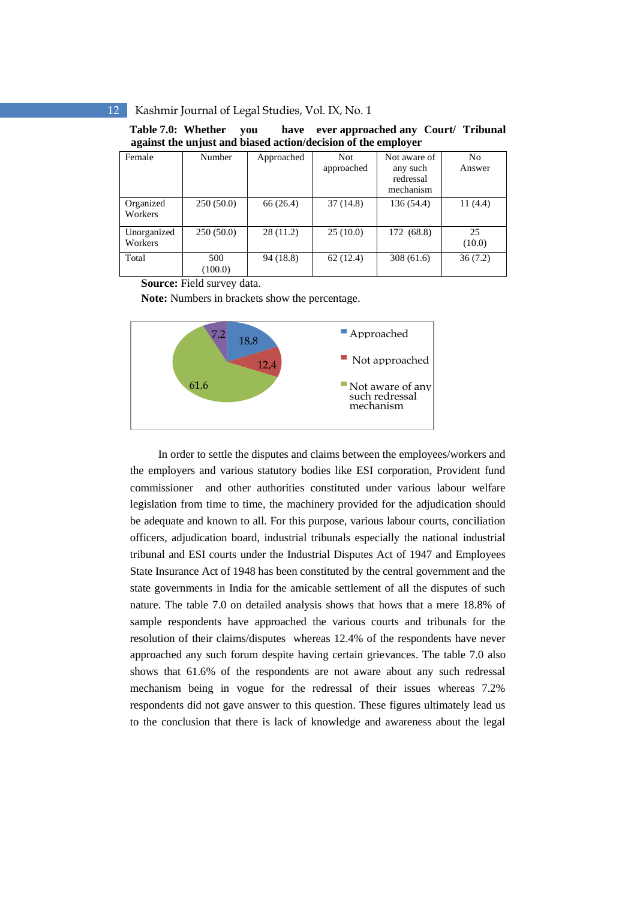**Table 7.0: Whether you have ever approached any Court/ Tribunal against the unjust and biased action/decision of the employer** 

| Female      | Number    | Approached | <b>Not</b> | Not aware of | No         |
|-------------|-----------|------------|------------|--------------|------------|
|             |           |            | approached | any such     | Answer     |
|             |           |            |            | redressal    |            |
|             |           |            |            | mechanism    |            |
| Organized   | 250(50.0) | 66 (26.4)  | 37(14.8)   | 136 (54.4)   | 11 $(4.4)$ |
| Workers     |           |            |            |              |            |
| Unorganized | 250(50.0) | 28(11.2)   | 25(10.0)   | 172 (68.8)   | 25         |
| Workers     |           |            |            |              | (10.0)     |
| Total       | 500       | 94(18.8)   | 62(12.4)   | 308(61.6)    | 36(7.2)    |
|             | (100.0)   |            |            |              |            |

**Source:** Field survey data.

**Note:** Numbers in brackets show the percentage.



 In order to settle the disputes and claims between the employees/workers and the employers and various statutory bodies like ESI corporation, Provident fund commissioner and other authorities constituted under various labour welfare legislation from time to time, the machinery provided for the adjudication should be adequate and known to all. For this purpose, various labour courts, conciliation officers, adjudication board, industrial tribunals especially the national industrial tribunal and ESI courts under the Industrial Disputes Act of 1947 and Employees State Insurance Act of 1948 has been constituted by the central government and the state governments in India for the amicable settlement of all the disputes of such nature. The table 7.0 on detailed analysis shows that hows that a mere 18.8% of sample respondents have approached the various courts and tribunals for the resolution of their claims/disputes whereas 12.4% of the respondents have never approached any such forum despite having certain grievances. The table 7.0 also shows that 61.6% of the respondents are not aware about any such redressal mechanism being in vogue for the redressal of their issues whereas 7.2% respondents did not gave answer to this question. These figures ultimately lead us to the conclusion that there is lack of knowledge and awareness about the legal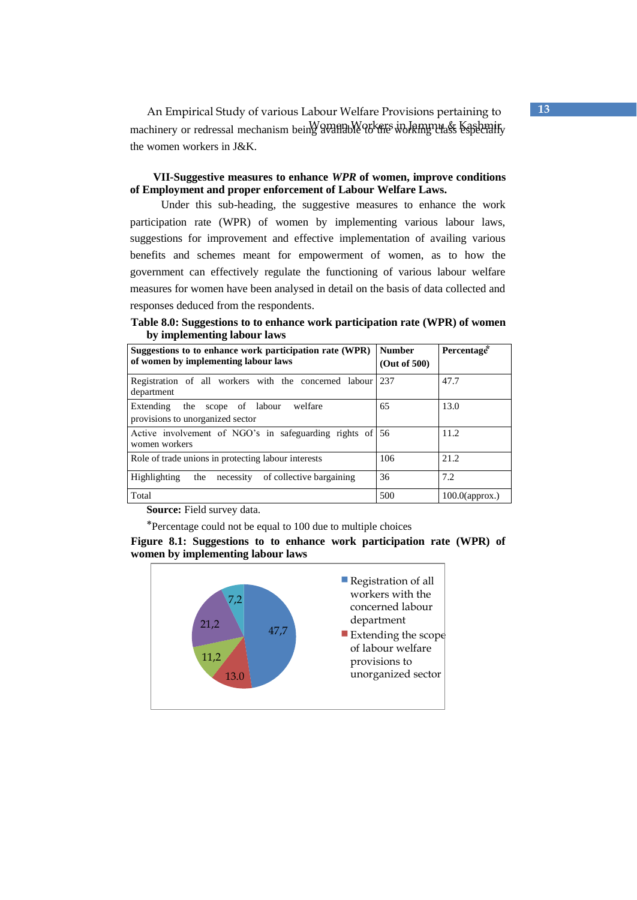An Empirical Study of various Labour Welfare Provisions pertaining to **13** machinery or redressal mechanism being available to the working class Kashmir the women workers in J&K.

**VII-Suggestive measures to enhance** *WPR* **of women, improve conditions of Employment and proper enforcement of Labour Welfare Laws.** 

 Under this sub-heading, the suggestive measures to enhance the work participation rate (WPR) of women by implementing various labour laws, suggestions for improvement and effective implementation of availing various benefits and schemes meant for empowerment of women, as to how the government can effectively regulate the functioning of various labour welfare measures for women have been analysed in detail on the basis of data collected and responses deduced from the respondents.

**Table 8.0: Suggestions to to enhance work participation rate (WPR) of women by implementing labour laws** 

| Suggestions to to enhance work participation rate (WPR)<br>of women by implementing labour laws | <b>Number</b><br>(Out of 500) | Percentage <sup>*</sup> |
|-------------------------------------------------------------------------------------------------|-------------------------------|-------------------------|
| Registration of all workers with the concerned labour<br>department                             | 237                           | 47.7                    |
| Extending<br>the<br>welfare<br>scope of labour<br>provisions to unorganized sector              | 65                            | 13.0                    |
| Active involvement of NGO's in safeguarding rights of 56<br>women workers                       |                               | 11.2                    |
| Role of trade unions in protecting labour interests                                             | 106                           | 21.2                    |
| of collective bargaining<br>Highlighting<br>the<br>necessity                                    | 36                            | 7.2                     |
| Total                                                                                           | 500                           | $100.0$ (approx.)       |

 **Source:** Field survey data.

⃰Percentage could not be equal to 100 due to multiple choices

**Figure 8.1: Suggestions to to enhance work participation rate (WPR) of women by implementing labour laws** 

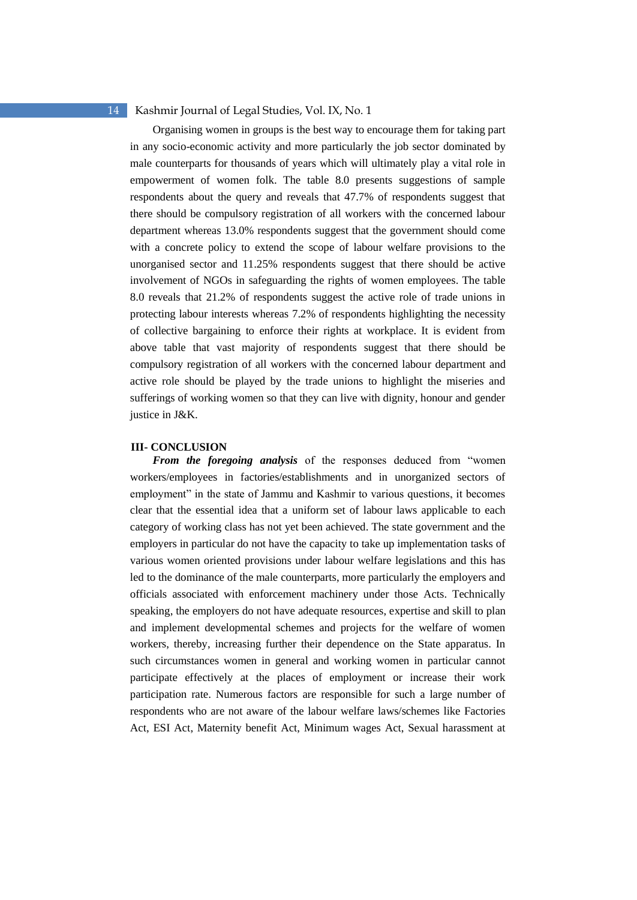Organising women in groups is the best way to encourage them for taking part in any socio-economic activity and more particularly the job sector dominated by male counterparts for thousands of years which will ultimately play a vital role in empowerment of women folk. The table 8.0 presents suggestions of sample respondents about the query and reveals that 47.7% of respondents suggest that there should be compulsory registration of all workers with the concerned labour department whereas 13.0% respondents suggest that the government should come with a concrete policy to extend the scope of labour welfare provisions to the unorganised sector and 11.25% respondents suggest that there should be active involvement of NGOs in safeguarding the rights of women employees. The table 8.0 reveals that 21.2% of respondents suggest the active role of trade unions in protecting labour interests whereas 7.2% of respondents highlighting the necessity of collective bargaining to enforce their rights at workplace. It is evident from above table that vast majority of respondents suggest that there should be compulsory registration of all workers with the concerned labour department and active role should be played by the trade unions to highlight the miseries and sufferings of working women so that they can live with dignity, honour and gender justice in J&K.

#### **III- CONCLUSION**

*From the foregoing analysis* of the responses deduced from "women workers/employees in factories/establishments and in unorganized sectors of employment" in the state of Jammu and Kashmir to various questions, it becomes clear that the essential idea that a uniform set of labour laws applicable to each category of working class has not yet been achieved. The state government and the employers in particular do not have the capacity to take up implementation tasks of various women oriented provisions under labour welfare legislations and this has led to the dominance of the male counterparts, more particularly the employers and officials associated with enforcement machinery under those Acts. Technically speaking, the employers do not have adequate resources, expertise and skill to plan and implement developmental schemes and projects for the welfare of women workers, thereby, increasing further their dependence on the State apparatus. In such circumstances women in general and working women in particular cannot participate effectively at the places of employment or increase their work participation rate. Numerous factors are responsible for such a large number of respondents who are not aware of the labour welfare laws/schemes like Factories Act, ESI Act, Maternity benefit Act, Minimum wages Act, Sexual harassment at